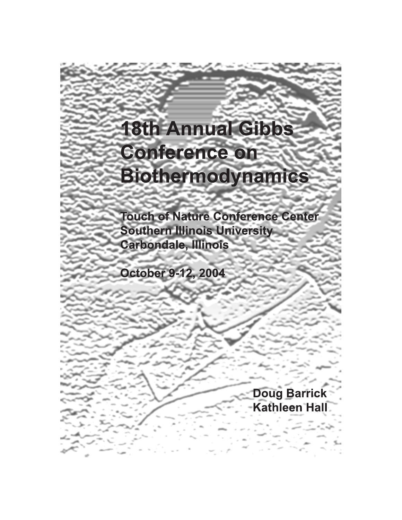# **18th Annual Gibbs Conference on Biothermodynamics**

**Touch of Nature Conference Center Southern Illinois University Carbondale, Illinois** 

**October 9-12, 2004** 

**Doug Barrick Kathleen Hall**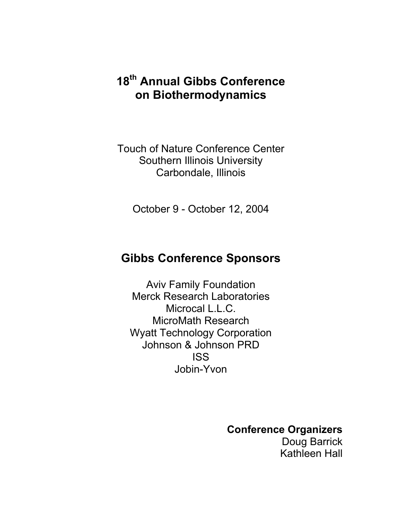## **18th Annual Gibbs Conference on Biothermodynamics**

Touch of Nature Conference Center Southern Illinois University Carbondale, Illinois

October 9 - October 12, 2004

## **Gibbs Conference Sponsors**

Aviv Family Foundation Merck Research Laboratories Microcal L.L.C. MicroMath Research Wyatt Technology Corporation Johnson & Johnson PRD ISS Jobin-Yvon

**Conference Organizers** 

Doug Barrick Kathleen Hall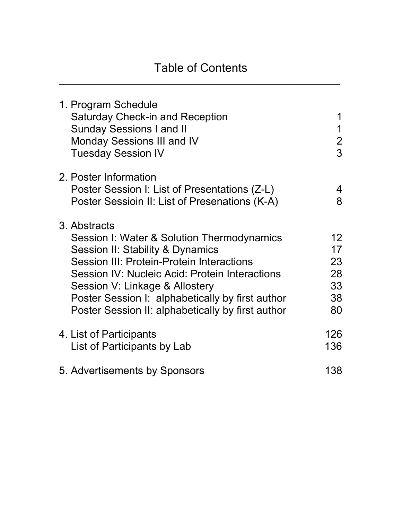| 1. Program Schedule<br><b>Saturday Check-in and Reception</b><br><b>Sunday Sessions I and II</b><br>Monday Sessions III and IV<br><b>Tuesday Session IV</b>                                                                                                                                                                              | 1<br>$\mathbf 1$<br>$\overline{2}$<br>3             |
|------------------------------------------------------------------------------------------------------------------------------------------------------------------------------------------------------------------------------------------------------------------------------------------------------------------------------------------|-----------------------------------------------------|
| 2. Poster Information<br>Poster Session I: List of Presentations (Z-L)<br>Poster Sessioin II: List of Presenations (K-A)                                                                                                                                                                                                                 | 4<br>8                                              |
| 3. Abstracts<br>Session I: Water & Solution Thermodynamics<br>Session II: Stability & Dynamics<br>Session III: Protein-Protein Interactions<br>Session IV: Nucleic Acid: Protein Interactions<br>Session V: Linkage & Allostery<br>Poster Session I: alphabetically by first author<br>Poster Session II: alphabetically by first author | 12 <sup>°</sup><br>17<br>23<br>28<br>33<br>38<br>80 |
| 4. List of Participants<br>List of Participants by Lab                                                                                                                                                                                                                                                                                   | 126<br>136                                          |
| 5. Advertisements by Sponsors                                                                                                                                                                                                                                                                                                            | 138                                                 |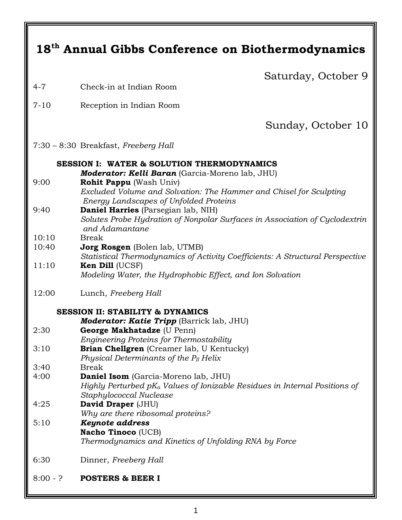| 18 <sup>th</sup> Annual Gibbs Conference on Biothermodynamics |                                                                                                      |  |  |  |  |  |
|---------------------------------------------------------------|------------------------------------------------------------------------------------------------------|--|--|--|--|--|
|                                                               | Saturday, October 9                                                                                  |  |  |  |  |  |
| $4 - 7$                                                       | Check-in at Indian Room                                                                              |  |  |  |  |  |
| $7 - 10$                                                      | Reception in Indian Room                                                                             |  |  |  |  |  |
|                                                               | Sunday, October 10                                                                                   |  |  |  |  |  |
|                                                               | 7:30 - 8:30 Breakfast, Freeberg Hall                                                                 |  |  |  |  |  |
| <b>SESSION I: WATER &amp; SOLUTION THERMODYNAMICS</b>         |                                                                                                      |  |  |  |  |  |
|                                                               | Moderator: Kelli Baran (Garcia-Moreno lab, JHU)                                                      |  |  |  |  |  |
| 9:00                                                          | <b>Rohit Pappu</b> (Wash Univ)<br>Excluded Volume and Solvation: The Hammer and Chisel for Sculpting |  |  |  |  |  |
|                                                               | Energy Landscapes of Unfolded Proteins                                                               |  |  |  |  |  |
| 9:40                                                          | Daniel Harries (Parsegian lab, NIH)                                                                  |  |  |  |  |  |
|                                                               | Solutes Probe Hydration of Nonpolar Surfaces in Association of Cyclodextrin<br>and Adamantane        |  |  |  |  |  |
| 10:10                                                         | <b>Break</b>                                                                                         |  |  |  |  |  |
| 10:40                                                         | <b>Jorg Rosgen</b> (Bolen lab, UTMB)                                                                 |  |  |  |  |  |
|                                                               | Statistical Thermodynamics of Activity Coefficients: A Structural Perspective                        |  |  |  |  |  |
| 11:10                                                         | Ken Dill (UCSF)<br>Modeling Water, the Hydrophobic Effect, and Ion Solvation                         |  |  |  |  |  |
|                                                               |                                                                                                      |  |  |  |  |  |
| 12:00                                                         | Lunch, Freeberg Hall                                                                                 |  |  |  |  |  |
| <b>SESSION II: STABILITY &amp; DYNAMICS</b>                   |                                                                                                      |  |  |  |  |  |
|                                                               | Moderator: Katie Tripp (Barrick lab, JHU)                                                            |  |  |  |  |  |
| 2:30                                                          | George Makhatadze (U Penn)                                                                           |  |  |  |  |  |
| 3:10                                                          | <b>Engineering Proteins for Thermostability</b><br>Brian Chellgren (Creamer lab, U Kentucky)         |  |  |  |  |  |
|                                                               | Physical Determinants of the $P_{II}$ Helix                                                          |  |  |  |  |  |
| 3:40                                                          | <b>Break</b>                                                                                         |  |  |  |  |  |
| 4:00                                                          | Daniel Isom (Garcia-Moreno lab, JHU)                                                                 |  |  |  |  |  |
|                                                               | Highly Perturbed $pK_a$ Values of Ionizable Residues in Internal Positions of                        |  |  |  |  |  |
| 4:25                                                          | Staphylococcal Nuclease<br>David Draper (JHU)                                                        |  |  |  |  |  |
|                                                               | Why are there ribosomal proteins?                                                                    |  |  |  |  |  |
| 5:10                                                          | <b>Keynote address</b>                                                                               |  |  |  |  |  |
|                                                               | <b>Nacho Tinoco (UCB)</b>                                                                            |  |  |  |  |  |
|                                                               | Thermodynamics and Kinetics of Unfolding RNA by Force                                                |  |  |  |  |  |
| 6:30                                                          | Dinner, Freeberg Hall                                                                                |  |  |  |  |  |
| $8:00 - ?$                                                    | <b>POSTERS &amp; BEER I</b>                                                                          |  |  |  |  |  |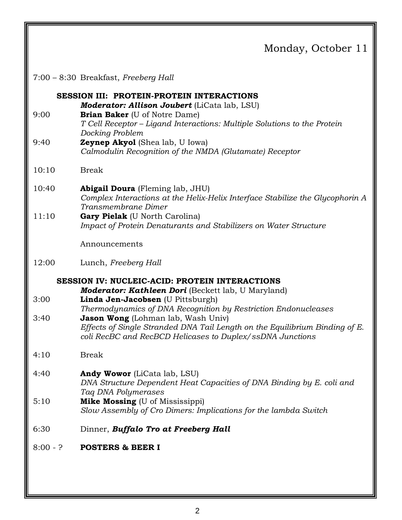### Monday, October 11

|  |  |  | 7:00 - 8:30 Breakfast, Freeberg Hall |
|--|--|--|--------------------------------------|
|--|--|--|--------------------------------------|

**SESSION III: PROTEIN-PROTEIN INTERACTIONS** *Moderator: Allison Joubert* (LiCata lab, LSU) 9:00 **Brian Baker** (U of Notre Dame) *T Cell Receptor – Ligand Interactions: Multiple Solutions to the Protein Docking Problem*  9:40 **Zeynep Akyol** (Shea lab, U Iowa) *Calmodulin Recognition of the NMDA (Glutamate) Receptor*  10:10 Break 10:40 **Abigail Doura** (Fleming lab, JHU) *Complex Interactions at the Helix-Helix Interface Stabilize the Glycophorin A Transmembrane Dimer*  11:10 **Gary Pielak** (U North Carolina) *Impact of Protein Denaturants and Stabilizers on Water Structure* Announcements 12:00 Lunch, *Freeberg Hall* **SESSION IV: NUCLEIC-ACID: PROTEIN INTERACTIONS** *Moderator: Kathleen Dori* (Beckett lab, U Maryland) 3:00 **Linda Jen-Jacobsen** (U Pittsburgh) *Thermodynamics of DNA Recognition by Restriction Endonucleases*  3:40 **Jason Wong** (Lohman lab, Wash Univ) *Effects of Single Stranded DNA Tail Length on the Equilibrium Binding of E. coli RecBC and RecBCD Helicases to Duplex/ssDNA Junctions*  4:10Break 4:40**Andy Wowor** (LiCata lab, LSU) *DNA Structure Dependent Heat Capacities of DNA Binding by E. coli and Taq DNA Polymerases*  5:10 **Mike Mossing** (U of Mississippi) *Slow Assembly of Cro Dimers: Implications for the lambda Switch*  6:30 Dinner, *Buffalo Tro at Freeberg Hall* 8:00 - ? **POSTERS & BEER I**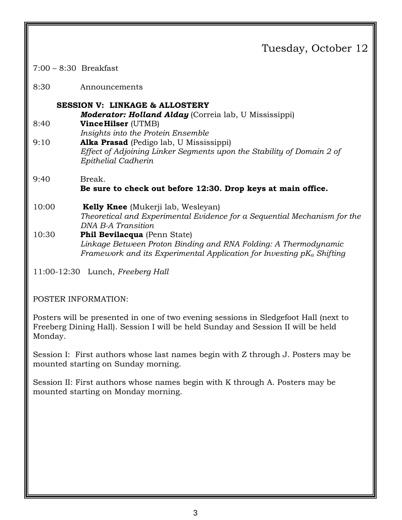## Tuesday, October 12

7:00 – 8:30 Breakfast

8:30 Announcements

### **SESSION V: LINKAGE & ALLOSTERY**

*Moderator: Holland Alday* (Correia lab, U Mississippi)

- 8:40 **Vince Hilser** (UTMB) *Insights into the Protein Ensemble*
- 9:10 **Alka Prasad** (Pedigo lab, U Mississippi) *Effect of Adjoining Linker Segments upon the Stability of Domain 2 of Epithelial Cadherin*

#### 9:40 Break. **Be sure to check out before 12:30. Drop keys at main office.**

#### 10:00 **Kelly Knee** (Mukerji lab, Wesleyan) *Theoretical and Experimental Evidence for a Sequential Mechanism for the DNA B-A Transition*  10:30 **Phil Bevilacqua** (Penn State)

#### *Linkage Between Proton Binding and RNA Folding: A Thermodynamic Framework and its Experimental Application for Investing pKa Shifting*

11:00-12:30 Lunch, *Freeberg Hall*

#### POSTER INFORMATION:

Posters will be presented in one of two evening sessions in Sledgefoot Hall (next to Freeberg Dining Hall). Session I will be held Sunday and Session II will be held Monday.

Session I: First authors whose last names begin with Z through J. Posters may be mounted starting on Sunday morning.

Session II: First authors whose names begin with K through A. Posters may be mounted starting on Monday morning.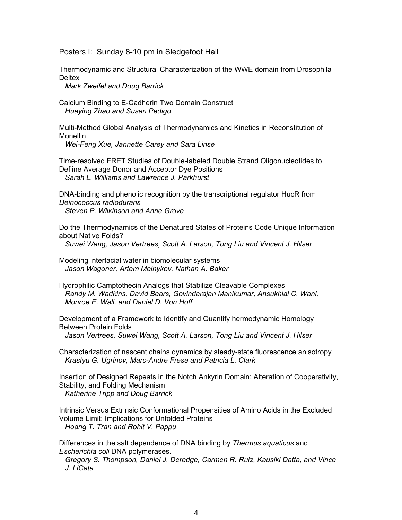Posters I: Sunday 8-10 pm in Sledgefoot Hall

Thermodynamic and Structural Characterization of the WWE domain from Drosophila **Deltex** 

*Mark Zweifel and Doug Barrick*

Calcium Binding to E-Cadherin Two Domain Construct *Huaying Zhao and Susan Pedigo*

Multi-Method Global Analysis of Thermodynamics and Kinetics in Reconstitution of Monellin

*Wei-Feng Xue, Jannette Carey and Sara Linse*

Time-resolved FRET Studies of Double-labeled Double Strand Oligonucleotides to Defiine Average Donor and Acceptor Dye Positions *Sarah L. Williams and Lawrence J. Parkhurst*

DNA-binding and phenolic recognition by the transcriptional regulator HucR from *Deinococcus radiodurans Steven P. Wilkinson and Anne Grove*

Do the Thermodynamics of the Denatured States of Proteins Code Unique Information about Native Folds?

*Suwei Wang, Jason Vertrees, Scott A. Larson, Tong Liu and Vincent J. Hilser*

Modeling interfacial water in biomolecular systems *Jason Wagoner, Artem Melnykov, Nathan A. Baker*

Hydrophilic Camptothecin Analogs that Stabilize Cleavable Complexes *Randy M. Wadkins, David Bears, Govindarajan Manikumar, Ansukhlal C. Wani, Monroe E. Wall, and Daniel D. Von Hoff*

Development of a Framework to Identify and Quantify hermodynamic Homology Between Protein Folds *Jason Vertrees, Suwei Wang, Scott A. Larson, Tong Liu and Vincent J. Hilser*

Characterization of nascent chains dynamics by steady-state fluorescence anisotropy *Krastyu G. Ugrinov, Marc-Andre Frese and Patricia L. Clark*

Insertion of Designed Repeats in the Notch Ankyrin Domain: Alteration of Cooperativity, Stability, and Folding Mechanism *Katherine Tripp and Doug Barrick*

Intrinsic Versus Extrinsic Conformational Propensities of Amino Acids in the Excluded Volume Limit: Implications for Unfolded Proteins *Hoang T. Tran and Rohit V. Pappu*

Differences in the salt dependence of DNA binding by *Thermus aquaticus* and *Escherichia coli* DNA polymerases.

*Gregory S. Thompson, Daniel J. Deredge, Carmen R. Ruiz, Kausiki Datta, and Vince J. LiCata*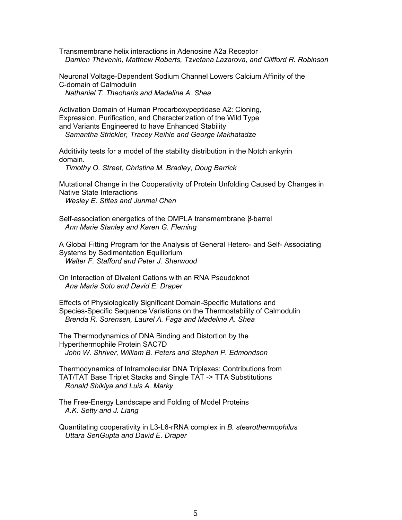Transmembrane helix interactions in Adenosine A2a Receptor *Damien Thévenin, Matthew Roberts, Tzvetana Lazarova, and Clifford R. Robinson*

Neuronal Voltage-Dependent Sodium Channel Lowers Calcium Affinity of the C-domain of Calmodulin *Nathaniel T. Theoharis and Madeline A. Shea*

Activation Domain of Human Procarboxypeptidase A2: Cloning, Expression, Purification, and Characterization of the Wild Type and Variants Engineered to have Enhanced Stability *Samantha Strickler, Tracey Reihle and George Makhatadze*

Additivity tests for a model of the stability distribution in the Notch ankyrin domain.

*Timothy O. Street, Christina M. Bradley, Doug Barrick*

Mutational Change in the Cooperativity of Protein Unfolding Caused by Changes in Native State Interactions

*Wesley E. Stites and Junmei Chen*

Self-association energetics of the OMPLA transmembrane β-barrel *Ann Marie Stanley and Karen G. Fleming*

A Global Fitting Program for the Analysis of General Hetero- and Self- Associating Systems by Sedimentation Equilibrium *Walter F. Stafford and Peter J. Sherwood*

On Interaction of Divalent Cations with an RNA Pseudoknot *Ana Maria Soto and David E. Draper*

Effects of Physiologically Significant Domain-Specific Mutations and Species-Specific Sequence Variations on the Thermostability of Calmodulin *Brenda R. Sorensen, Laurel A. Faga and Madeline A. Shea*

The Thermodynamics of DNA Binding and Distortion by the Hyperthermophile Protein SAC7D *John W. Shriver, William B. Peters and Stephen P. Edmondson*

Thermodynamics of Intramolecular DNA Triplexes: Contributions from TAT/TAT Base Triplet Stacks and Single TAT -> TTA Substitutions *Ronald Shikiya and Luis A. Marky*

The Free-Energy Landscape and Folding of Model Proteins *A.K. Setty and J. Liang*

Quantitating cooperativity in L3-L6-rRNA complex in *B. stearothermophilus Uttara SenGupta and David E. Draper*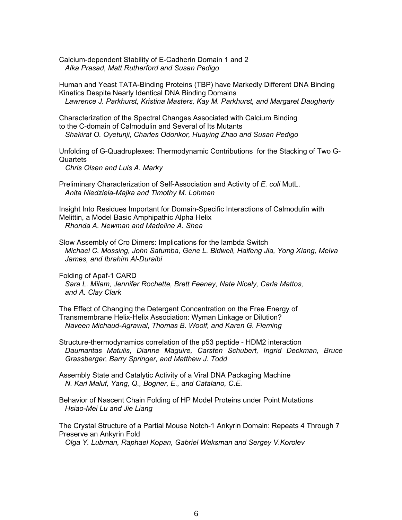Calcium-dependent Stability of E-Cadherin Domain 1 and 2 *Alka Prasad, Matt Rutherford and Susan Pedigo*

Human and Yeast TATA-Binding Proteins (TBP) have Markedly Different DNA Binding Kinetics Despite Nearly Identical DNA Binding Domains *Lawrence J. Parkhurst, Kristina Masters, Kay M. Parkhurst, and Margaret Daugherty*

Characterization of the Spectral Changes Associated with Calcium Binding to the C-domain of Calmodulin and Several of Its Mutants *Shakirat O. Oyetunji, Charles Odonkor, Huaying Zhao and Susan Pedigo*

Unfolding of G-Quadruplexes: Thermodynamic Contributions for the Stacking of Two G-**Quartets** 

*Chris Olsen and Luis A. Marky*

Preliminary Characterization of Self-Association and Activity of *E. coli* MutL. *Anita Niedziela-Majka and Timothy M. Lohman*

Insight Into Residues Important for Domain-Specific Interactions of Calmodulin with Melittin, a Model Basic Amphipathic Alpha Helix *Rhonda A. Newman and Madeline A. Shea*

Slow Assembly of Cro Dimers: Implications for the lambda Switch *Michael C. Mossing, John Satumba, Gene L. Bidwell, Haifeng Jia, Yong Xiang, Melva James, and Ibrahim Al-Duraibi*

Folding of Apaf-1 CARD *Sara L. Milam, Jennifer Rochette, Brett Feeney, Nate Nicely, Carla Mattos, and A. Clay Clark*

The Effect of Changing the Detergent Concentration on the Free Energy of Transmembrane Helix-Helix Association: Wyman Linkage or Dilution? *Naveen Michaud-Agrawal, Thomas B. Woolf, and Karen G. Fleming*

Structure-thermodynamics correlation of the p53 peptide - HDM2 interaction *Daumantas Matulis, Dianne Maguire, Carsten Schubert, Ingrid Deckman, Bruce Grassberger, Barry Springer, and Matthew J. Todd*

Assembly State and Catalytic Activity of a Viral DNA Packaging Machine *N. Karl Maluf, Yang, Q., Bogner, E., and Catalano, C.E.*

Behavior of Nascent Chain Folding of HP Model Proteins under Point Mutations *Hsiao-Mei Lu and Jie Liang*

The Crystal Structure of a Partial Mouse Notch-1 Ankyrin Domain: Repeats 4 Through 7 Preserve an Ankyrin Fold

*Olga Y. Lubman, Raphael Kopan, Gabriel Waksman and Sergey V.Korolev*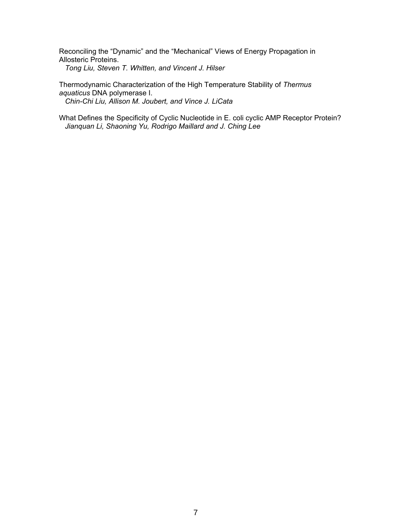Reconciling the "Dynamic" and the "Mechanical" Views of Energy Propagation in Allosteric Proteins. *Tong Liu, Steven T. Whitten, and Vincent J. Hilser*

Thermodynamic Characterization of the High Temperature Stability of *Thermus aquaticus* DNA polymerase I. *Chin-Chi Liu, Allison M. Joubert, and Vince J. LiCata*

What Defines the Specificity of Cyclic Nucleotide in E. coli cyclic AMP Receptor Protein? *Jianquan Li, Shaoning Yu, Rodrigo Maillard and J. Ching Lee*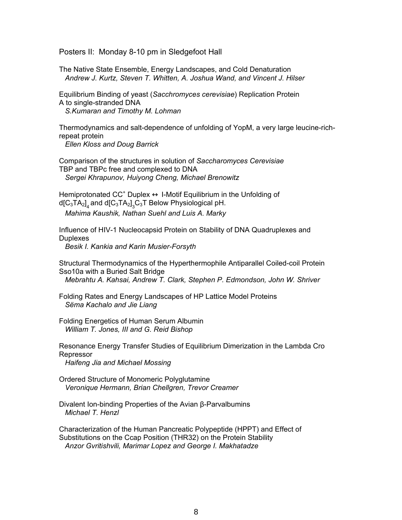Posters II: Monday 8-10 pm in Sledgefoot Hall

The Native State Ensemble, Energy Landscapes, and Cold Denaturation *Andrew J. Kurtz, Steven T. Whitten, A. Joshua Wand, and Vincent J. Hilser*

Equilibrium Binding of yeast (*Sacchromyces cerevisiae*) Replication Protein A to single-stranded DNA *S.Kumaran and Timothy M. Lohman*

Thermodynamics and salt-dependence of unfolding of YopM, a very large leucine-richrepeat protein

*Ellen Kloss and Doug Barrick*

Comparison of the structures in solution of *Saccharomyces Cerevisiae* TBP and TBPc free and complexed to DNA *Sergei Khrapunov, Huiyong Cheng, Michael Brenowitz*

Hemiprotonated  $CC^+$  Duplex  $\leftrightarrow$  I-Motif Equilibrium in the Unfolding of d[C $_3$ TA $_2{}]_4$  and d[C $_3$ TA $_2{}]_3$ C $_3$ T Below Physiological pH. *Mahima Kaushik, Nathan Suehl and Luis A. Marky*

Influence of HIV-1 Nucleocapsid Protein on Stability of DNA Quadruplexes and **Duplexes** *Besik I. Kankia and Karin Musier-Forsyth*

Structural Thermodynamics of the Hyperthermophile Antiparallel Coiled-coil Protein Sso10a with a Buried Salt Bridge

*Mebrahtu A. Kahsai, Andrew T. Clark, Stephen P. Edmondson, John W. Shriver*

Folding Rates and Energy Landscapes of HP Lattice Model Proteins *Sëma Kachalo and Jie Liang*

Folding Energetics of Human Serum Albumin *William T. Jones, III and G. Reid Bishop*

Resonance Energy Transfer Studies of Equilibrium Dimerization in the Lambda Cro Repressor

*Haifeng Jia and Michael Mossing*

Ordered Structure of Monomeric Polyglutamine *Veronique Hermann, Brian Chellgren, Trevor Creamer*

Divalent Ion-binding Properties of the Avian β-Parvalbumins *Michael T. Henzl*

Characterization of the Human Pancreatic Polypeptide (HPPT) and Effect of Substitutions on the Ccap Position (THR32) on the Protein Stability *Anzor Gvritishvili, Marimar Lopez and George I. Makhatadze*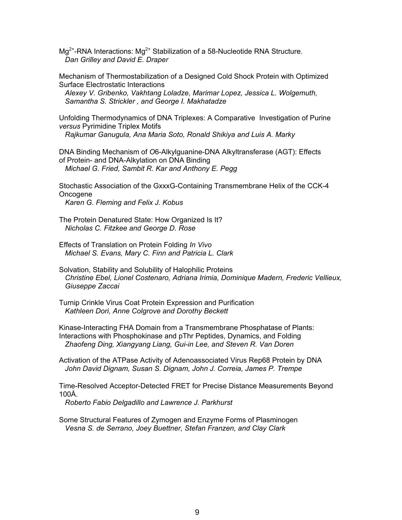$Mg^{2+}$ -RNA Interactions:  $Mg^{2+}$  Stabilization of a 58-Nucleotide RNA Structure. *Dan Grilley and David E. Draper*

Mechanism of Thermostabilization of a Designed Cold Shock Protein with Optimized Surface Electrostatic Interactions

*Alexey V. Gribenko, Vakhtang Loladze, Marimar Lopez, Jessica L. Wolgemuth, Samantha S. Strickler , and George I. Makhatadze*

Unfolding Thermodynamics of DNA Triplexes: A Comparative Investigation of Purine *versus* Pyrimidine Triplex Motifs *Rajkumar Ganugula, Ana Maria Soto, Ronald Shikiya and Luis A. Marky*

DNA Binding Mechanism of *O*6-Alkylguanine-DNA Alkyltransferase (AGT): Effects of Protein- and DNA-Alkylation on DNA Binding *Michael G. Fried, Sambit R. Kar and Anthony E. Pegg*

Stochastic Association of the GxxxG-Containing Transmembrane Helix of the CCK-4 **Oncogene** 

*Karen G. Fleming and Felix J. Kobus*

The Protein Denatured State: How Organized Is It? *Nicholas C. Fitzkee and George D. Rose*

Effects of Translation on Protein Folding *In Vivo Michael S. Evans, Mary C. Finn and Patricia L. Clark*

Solvation, Stability and Solubility of Halophilic Proteins *Christine Ebel, Lionel Costenaro, Adriana Irimia, Dominique Madern, Frederic Vellieux, Giuseppe Zaccai*

Turnip Crinkle Virus Coat Protein Expression and Purification *Kathleen Dori, Anne Colgrove and Dorothy Beckett*

Kinase-Interacting FHA Domain from a Transmembrane Phosphatase of Plants: Interactions with Phosphokinase and pThr Peptides, Dynamics, and Folding *Zhaofeng Ding, Xiangyang Liang, Gui-in Lee, and Steven R. Van Doren*

Activation of the ATPase Activity of Adenoassociated Virus Rep68 Protein by DNA *John David Dignam, Susan S. Dignam, John J. Correia, James P. Trempe*

Time-Resolved Acceptor-Detected FRET for Precise Distance Measurements Beyond 100Å.

*Roberto Fabio Delgadillo and Lawrence J. Parkhurst*

Some Structural Features of Zymogen and Enzyme Forms of Plasminogen *Vesna S. de Serrano, Joey Buettner, Stefan Franzen, and Clay Clark*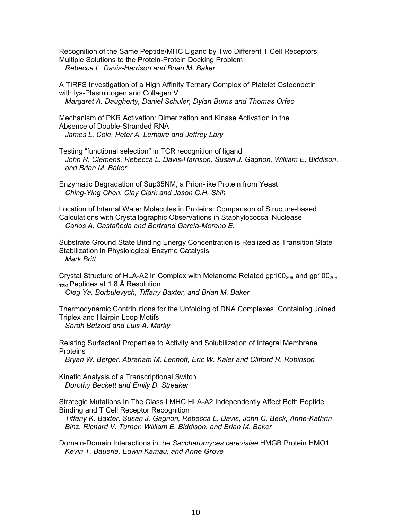Recognition of the Same Peptide/MHC Ligand by Two Different T Cell Receptors: Multiple Solutions to the Protein-Protein Docking Problem *Rebecca L. Davis-Harrison and Brian M. Baker*

A TIRFS Investigation of a High Affinity Ternary Complex of Platelet Osteonectin with lys-Plasminogen and Collagen V *Margaret A. Daugherty, Daniel Schuler, Dylan Burns and Thomas Orfeo*

Mechanism of PKR Activation: Dimerization and Kinase Activation in the Absence of Double-Stranded RNA *James L. Cole, Peter A. Lemaire and Jeffrey Lary*

Testing "functional selection" in TCR recognition of ligand *John R. Clemens, Rebecca L. Davis-Harrison, Susan J. Gagnon, William E. Biddison, and Brian M. Baker*

Enzymatic Degradation of Sup35NM, a Prion-like Protein from Yeast *Ching-Ying Chen, Clay Clark and Jason C.H. Shih*

Location of Internal Water Molecules in Proteins: Comparison of Structure-based Calculations with Crystallographic Observations in Staphylococcal Nuclease *Carlos A. Castañeda and Bertrand García-Moreno E*.

Substrate Ground State Binding Energy Concentration is Realized as Transition State Stabilization in Physiological Enzyme Catalysis *Mark Britt*

Crystal Structure of HLA-A2 in Complex with Melanoma Related gp100<sub>209</sub> and gp100<sub>209</sub>  $_{\text{T2M}}$  Peptides at 1.8 Å Resolution

*Oleg Ya. Borbulevych, Tiffany Baxter, and Brian M. Baker*

Thermodynamic Contributions for the Unfolding of DNA Complexes Containing Joined Triplex and Hairpin Loop Motifs *Sarah Betzold and Luis A. Marky*

Relating Surfactant Properties to Activity and Solubilization of Integral Membrane **Proteins** 

*Bryan W. Berger, Abraham M. Lenhoff, Eric W. Kaler and Clifford R. Robinson*

Kinetic Analysis of a Transcriptional Switch *Dorothy Beckett and Emily D. Streaker*

Strategic Mutations In The Class I MHC HLA-A2 Independently Affect Both Peptide Binding and T Cell Receptor Recognition

*Tiffany K. Baxter, Susan J. Gagnon, Rebecca L. Davis, John C. Beck, Anne-Kathrin Binz, Richard V. Turner, William E. Biddison, and Brian M. Baker*

Domain-Domain Interactions in the *Saccharomyces cerevisiae* HMGB Protein HMO1 *Kevin T. Bauerle, Edwin Kamau, and Anne Grove*